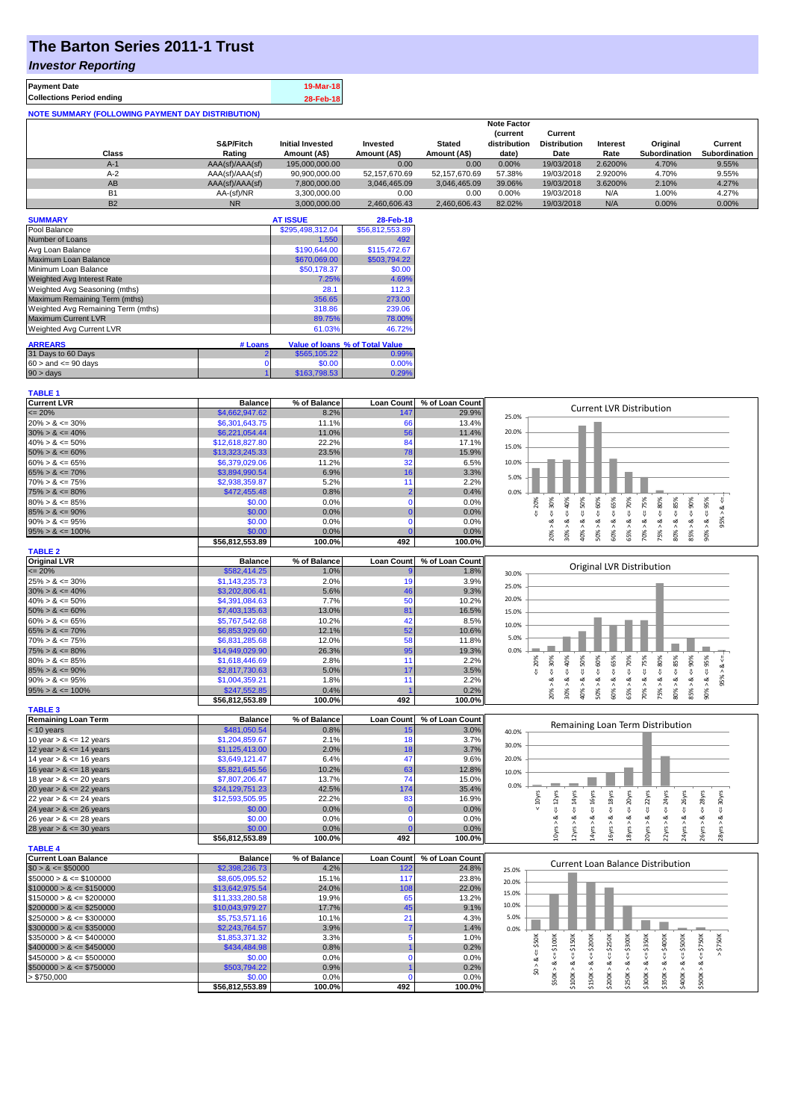# **The Barton Series 2011-1 Trust**

### *Investor Reporting*

| 19-Mar-18 |
|-----------|
| 28-Feb-18 |
|           |

|                |                 |                         |               |               | <b>Note Factor</b> |                     |                 |               |               |
|----------------|-----------------|-------------------------|---------------|---------------|--------------------|---------------------|-----------------|---------------|---------------|
|                |                 |                         |               |               | <b>Current</b>     | Current             |                 |               |               |
|                | S&P/Fitch       | <b>Initial Invested</b> | Invested      | <b>Stated</b> | distribution       | <b>Distribution</b> | <b>Interest</b> | Original      | Current       |
| Class          | Rating          | Amount (A\$)            | Amount (A\$)  | Amount (A\$)  | date)              | Date                | Rate            | Subordination | Subordination |
| $A-1$          | AAA(sf)/AAA(sf) | 195,000,000,00          | 0.00          | 0.00          | 0.00%              | 19/03/2018          | 2.6200%         | 4.70%         | 9.55%         |
| $A-2$          | AAA(sf)/AAA(sf) | 90,900,000.00           | 52.157.670.69 | 52.157.670.69 | 57.38%             | 19/03/2018          | 2.9200%         | 4.70%         | 9.55%         |
| AB             | AAA(sf)/AAA(sf) | 7,800,000.00            | 3.046.465.09  | 3.046.465.09  | 39.06%             | 19/03/2018          | 3.6200%         | 2.10%         | 4.27%         |
| B <sub>1</sub> | AA-(sf)/NR      | 3.300.000.00            | 0.00          | 0.00          | $0.00\%$           | 19/03/2018          | N/A             | 1.00%         | 4.27%         |
| <b>B2</b>      | <b>NR</b>       | 3.000.000.00            | 2.460.606.43  | 2.460.606.43  | 82.02%             | 19/03/2018          | N/A             | $0.00\%$      | 0.00%         |

| <b>SUMMARY</b>                     |                | <b>AT ISSUE</b>  | 28-Feb-18                       |
|------------------------------------|----------------|------------------|---------------------------------|
| Pool Balance                       |                | \$295,498,312.04 | \$56,812,553.89                 |
| Number of Loans                    |                | 1,550            | 492                             |
| Avg Loan Balance                   |                | \$190,644.00     | \$115,472.67                    |
| Maximum Loan Balance               |                | \$670,069.00     | \$503,794.22                    |
| Minimum Loan Balance               |                | \$50,178.37      | \$0.00                          |
| <b>Weighted Avg Interest Rate</b>  |                | 7.25%            | 4.69%                           |
| Weighted Avg Seasoning (mths)      |                | 28.1             | 112.3                           |
| Maximum Remaining Term (mths)      |                | 356.65           | 273.00                          |
| Weighted Avg Remaining Term (mths) |                | 318.86           | 239.06                          |
| <b>Maximum Current LVR</b>         |                | 89.75%           | 78.00%                          |
| Weighted Avg Current LVR           |                | 61.03%           | 46.72%                          |
| <b>ARREARS</b>                     | # Loans        |                  | Value of Ioans % of Total Value |
|                                    |                |                  |                                 |
| 31 Days to 60 Days                 | $\overline{2}$ | \$565,105.22     | 0.99%                           |
| $60 >$ and $\leq 90$ days          | 0              | \$0.00           | 0.00%                           |
| $90 > \text{days}$                 |                | \$163,798.53     | 0.29%                           |

| <b>TABLE 1</b>              |                 |              |                   |                 |                                                                                                                                                                                                                      |
|-----------------------------|-----------------|--------------|-------------------|-----------------|----------------------------------------------------------------------------------------------------------------------------------------------------------------------------------------------------------------------|
| <b>Current LVR</b>          | <b>Balance</b>  | % of Balance | <b>Loan Count</b> | % of Loan Count |                                                                                                                                                                                                                      |
| $\leq$ 20%                  | \$4,662,947.62  | 8.2%         | 147               | 29.9%           | <b>Current LVR Distribution</b><br>25.0%                                                                                                                                                                             |
| $20\% > 8 \le 30\%$         | \$6,301,643.75  | 11.1%        | 66                | 13.4%           |                                                                                                                                                                                                                      |
| $30\% > 8 \le 40\%$         | \$6,221,054.44  | 11.0%        | 56                | 11.4%           | 20.0%                                                                                                                                                                                                                |
| $40\% > 8 \le 50\%$         | \$12,618,827.80 | 22.2%        | 84                | 17.1%           |                                                                                                                                                                                                                      |
| $50\% > 8 \le 60\%$         | \$13,323,245.33 | 23.5%        | 78                | 15.9%           | 15.0%                                                                                                                                                                                                                |
| $60\% > 8 \le 65\%$         | \$6,379,029.06  | 11.2%        | 32                | 6.5%            | 10.0%                                                                                                                                                                                                                |
| $65\% > 8 \le 70\%$         | \$3,894,990.54  | 6.9%         | 16                | 3.3%            |                                                                                                                                                                                                                      |
| $70\% > 8 \le 75\%$         | \$2,938,359.87  | 5.2%         | 11                | 2.2%            | 5.0%                                                                                                                                                                                                                 |
| $75\% > 8 \le 80\%$         | \$472,455.48    | 0.8%         | $\overline{2}$    | 0.4%            | 0.0%                                                                                                                                                                                                                 |
| $80\% > 8 \le 85\%$         | \$0.00          | 0.0%         | $\Omega$          | 0.0%            | $4 = 30\%$<br>$\le 60\%$<br>$\leq 70\%$<br>$4 = 85\%$<br>20%                                                                                                                                                         |
| $85\% > 8 \le 90\%$         | \$0.00          | 0.0%         | $\Omega$          | 0.0%            | 95% > 8 <<br>ű                                                                                                                                                                                                       |
| $90\% > 8 \le 95\%$         | \$0.00          | 0.0%         | n                 | 0.0%            |                                                                                                                                                                                                                      |
| $95\% > 8 \le 100\%$        | \$0.00          | 0.0%         |                   | 0.0%            | $30\% > 8 <= 40\%$<br>$40\% > 8 <= 50\%$<br>$60\% > 8 <= 65\%$<br>$70\% > 8 <= 75\%$<br>$75\% > 8 <= 80\%$<br>$85\% > 8 <= 90\%$<br>$90\% > 8 <= 95\%$<br>20% > 8<br>50% > 8<br>65% > 8.<br>80% > 8                  |
|                             | \$56,812,553.89 | 100.0%       | 492               | 100.0%          |                                                                                                                                                                                                                      |
| <b>TABLE 2</b>              |                 |              |                   |                 |                                                                                                                                                                                                                      |
| <b>Original LVR</b>         | <b>Balance</b>  | % of Balance | <b>Loan Count</b> | % of Loan Count |                                                                                                                                                                                                                      |
| $\leq$ 20%                  | \$582,414.25    | 1.0%         |                   | 1.8%            | Original LVR Distribution<br>30.0%                                                                                                                                                                                   |
| $25\% > 8 \le 30\%$         | \$1,143,235.73  | 2.0%         | 19                | 3.9%            |                                                                                                                                                                                                                      |
| $30\% > 8 \le 40\%$         | \$3,202,806.41  | 5.6%         | 46                | 9.3%            | 25.0%                                                                                                                                                                                                                |
| $40\% > 8 \le 50\%$         | \$4,391,084.63  | 7.7%         | 50                | 10.2%           | 20.0%                                                                                                                                                                                                                |
| $50\% > 8 \le 60\%$         | \$7,403,135.63  | 13.0%        | 81                | 16.5%           | 15.0%                                                                                                                                                                                                                |
| $60\% > 8 \le 65\%$         | \$5,767,542.68  | 10.2%        | 42                | 8.5%            |                                                                                                                                                                                                                      |
| $65\% > 8 \le 70\%$         | \$6,853,929.60  | 12.1%        | 52                | 10.6%           | 10.0%                                                                                                                                                                                                                |
| $70\% > 8 \le 75\%$         | \$6,831,285.68  | 12.0%        | 58                | 11.8%           | 5.0%                                                                                                                                                                                                                 |
| $75\% > 8 \le 80\%$         | \$14,949,029.90 | 26.3%        | 95                | 19.3%           | 0.0%                                                                                                                                                                                                                 |
| $80\% > 8 \le 85\%$         | \$1,618,446.69  | 2.8%         | 11                | 2.2%            | 85%<br>65%<br>95%<br>20%                                                                                                                                                                                             |
| $85\% > 8 \le 90\%$         | \$2,817,730.63  | 5.0%         | 17                | 3.5%            | 480%<br>$\epsilon = 50\%$<br>$4 = 60\%$<br>$4 = 75\%$<br>$4 = 90\%$<br>$4 = 30\%$<br>$40\%$<br>$\leq 70\%$<br>95% > 8 <<br>V<br>₩<br>₩<br>v                                                                          |
| $90\% > 8 \le 95\%$         | \$1,004,359.21  | 1.8%         | 11                | 2.2%            | ಹ<br>ಹ<br>ಷ<br>ಹ<br>œ<br>∞<br>ø<br>∞<br>త<br>∞                                                                                                                                                                       |
| $95\% > 8 \le 100\%$        | \$247,552.85    | 0.4%         |                   | 0.2%            | 20% > 8<br>30% ><br>50% ><br>60% ><br>65%<br>70%<br>75% ><br>$80\%$ $>$<br>85%<br>90% ><br>40% >                                                                                                                     |
|                             | \$56,812,553.89 | 100.0%       | 492               | 100.0%          |                                                                                                                                                                                                                      |
| <b>TABLE 3</b>              |                 |              |                   |                 |                                                                                                                                                                                                                      |
| <b>Remaining Loan Term</b>  | <b>Balance</b>  | % of Balance | <b>Loan Count</b> | % of Loan Count |                                                                                                                                                                                                                      |
| $<$ 10 years                | \$481,050.54    | 0.8%         | 15                | 3.0%            | Remaining Loan Term Distribution<br>40.0%                                                                                                                                                                            |
| 10 year $> 8 \le 12$ years  | \$1,204,859.67  | 2.1%         | 18                | 3.7%            |                                                                                                                                                                                                                      |
| 12 year $> 8 \le 14$ years  | \$1,125,413.00  | 2.0%         | 18                | 3.7%            | 30.0%                                                                                                                                                                                                                |
| 14 year $> 8 \le 16$ years  | \$3,649,121.47  | 6.4%         | 47                | 9.6%            | 20.0%                                                                                                                                                                                                                |
| 16 year $> 8 \le 18$ years  | \$5,821,645.56  | 10.2%        | 63                | 12.8%           | 10.0%                                                                                                                                                                                                                |
| 18 year $> 8 \le 20$ years  | \$7,807,206.47  | 13.7%        | 74                | 15.0%           |                                                                                                                                                                                                                      |
| 20 year $> 8 \le 22$ years  | \$24,129,751.23 | 42.5%        | 174               | 35.4%           | 0.0%                                                                                                                                                                                                                 |
| 22 year $> 8 \le 24$ years  | \$12,593,505.95 | 22.2%        | 83                | 16.9%           | $\leq$ 24yrs<br>$\leq$ 26yrs<br>$\leq$ 28yrs<br>$\epsilon$ = 16yrs<br>$4 = 18$ yrs<br>$\leq$ 20 $\gamma$ rs<br>22yrs<br>30yrs<br>$< 10$ yrs<br>$\leq 12$ yrs<br>$\leq 14$ yrs                                        |
| 24 year $> 8 \le 26$ years  | \$0.00          | 0.0%         |                   | 0.0%            | ₩<br>₩                                                                                                                                                                                                               |
| 26 year $> 8 \le 28$ years  | \$0.00          | 0.0%         | $\Omega$          | 0.0%            | ಷ<br>ಷ<br>త<br>œ<br>∞<br>ಷ<br>ಷ<br>∞<br>ಷ<br>ಷ                                                                                                                                                                       |
| 28 year $> 8 \le 30$ years  | \$0.00          | 0.0%         |                   | 0.0%            | 10yrs > 8<br>26yrs ><br>2yrs ><br>14yrs ><br>16yrs ><br>20yrs >                                                                                                                                                      |
|                             | \$56,812,553.89 | 100.0%       | 492               | 100.0%          | 18yrs > 8<br>24yrs > 8<br>28yrs > 8<br>22yrs >                                                                                                                                                                       |
| <b>TABLE 4</b>              |                 |              |                   |                 |                                                                                                                                                                                                                      |
| <b>Current Loan Balance</b> | <b>Balance</b>  | % of Balance | <b>Loan Count</b> | % of Loan Count |                                                                                                                                                                                                                      |
| $$0 > 8 \le $50000$         | \$2,398,236.73  | 4.2%         | 122               | 24.8%           | Current Loan Balance Distribution<br>25.0%                                                                                                                                                                           |
| $$50000 > 8 \le $100000$    | \$8,605,095.52  | 15.1%        | 117               | 23.8%           | 20.0%                                                                                                                                                                                                                |
| $$100000 > 8 \leq $150000$  | \$13,642,975.54 | 24.0%        | 108               | 22.0%           |                                                                                                                                                                                                                      |
| $$150000 > 8 \leq $200000$  | \$11,333,280.58 | 19.9%        | 65                | 13.2%           | 15.0%                                                                                                                                                                                                                |
| $$200000 > 8 \leq $250000$  | \$10,043,979.27 | 17.7%        | 45                | 9.1%            | 10.0%                                                                                                                                                                                                                |
| $$250000 > 8 \leq $300000$  | \$5,753,571.16  | 10.1%        | 21                | 4.3%            | 5.0%                                                                                                                                                                                                                 |
| $$300000 > 8 \leq $350000$  | \$2,243,764.57  | 3.9%         |                   | 1.4%            | 0.0%                                                                                                                                                                                                                 |
| $$350000 > 8 \leq $400000$  | \$1,853,371.32  | 3.3%         | 5                 | 1.0%            |                                                                                                                                                                                                                      |
| $$400000 > 8 \leq $450000$  | \$434,484.98    | 0.8%         |                   | 0.2%            | \$750K<br>\$300K                                                                                                                                                                                                     |
| $$450000 > 8 \le $500000$   | \$0.00          | 0.0%         | $\Omega$          | 0.0%            | $$0 > 8 <= $50$ K<br>$$50K > 8 <= $100K$<br>$$150K > 8 \le = $200K$<br>$$200K > 8 <= $250K$$<br>$$300K > 8 <= $350K$<br>$$350K > 8 <= $400K$<br>$$400K > 8 <= $500K$<br>$$100K > 8 <= $150K$<br>$$500K > 8 <= $750K$ |
| $$500000 > 8 \le $750000$   | \$503,794.22    | 0.9%         |                   | 0.2%            | $$250K > 8 <=$                                                                                                                                                                                                       |
| > \$750,000                 | \$0.00          | 0.0%         | $\Omega$          | 0.0%            |                                                                                                                                                                                                                      |
|                             | \$56,812,553.89 | 100.0%       | 492               | 100.0%          |                                                                                                                                                                                                                      |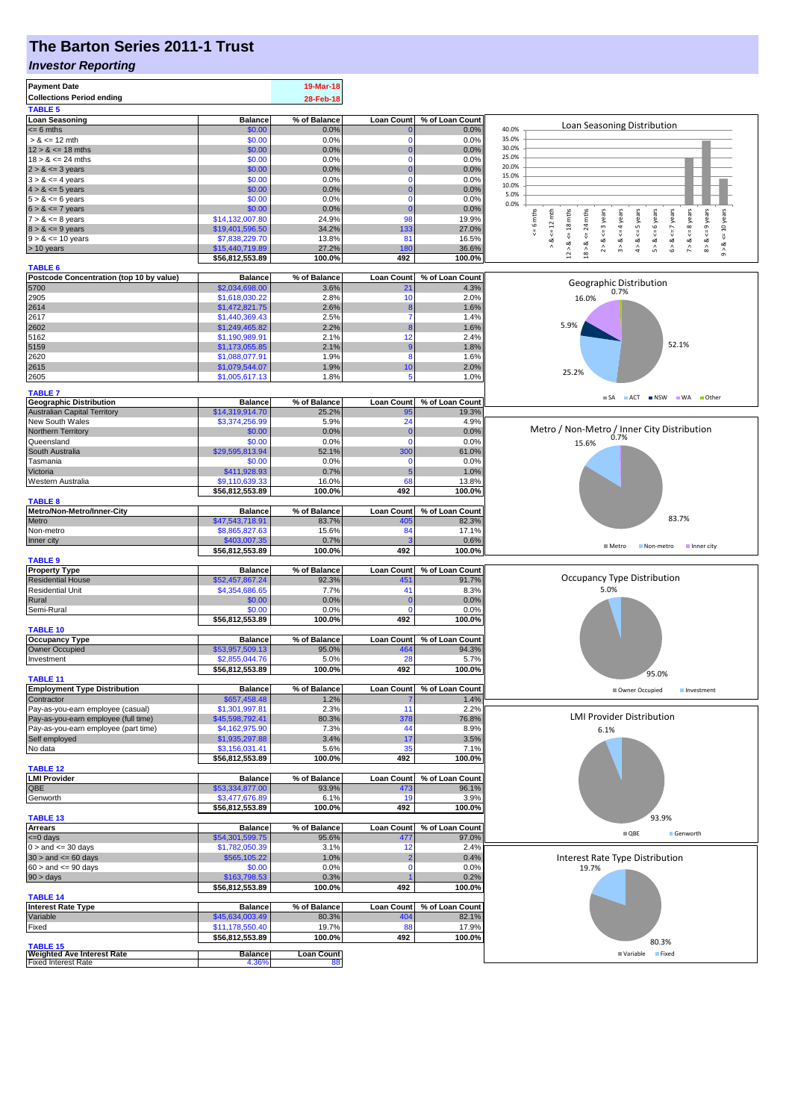# **The Barton Series 2011-1 Trust**

#### *Investor Reporting*

| <b>Payment Date</b><br><b>Collections Period ending</b>         |                                    | 19-Mar-18<br>28-Feb-18  |                          |                          |                                                                                                                                                                                                           |
|-----------------------------------------------------------------|------------------------------------|-------------------------|--------------------------|--------------------------|-----------------------------------------------------------------------------------------------------------------------------------------------------------------------------------------------------------|
| <b>TABLE 5</b><br><b>Loan Seasoning</b>                         | <b>Balance</b>                     | % of Balance            | <b>Loan Count</b>        | % of Loan Count          |                                                                                                                                                                                                           |
| $= 6$ mths                                                      | \$0.00                             | 0.0%                    |                          | 0.0%                     | Loan Seasoning Distribution<br>40.0%                                                                                                                                                                      |
| $> 8 \le 12$ mth                                                | \$0.00                             | 0.0%                    | -0                       | 0.0%                     | 35.0%                                                                                                                                                                                                     |
| $12 > 8 \le 18$ mths                                            | \$0.00                             | 0.0%                    |                          | 0.0%                     | 30.0%                                                                                                                                                                                                     |
| $18 > 8 \le 24$ mths                                            | \$0.00                             | 0.0%                    | $\Omega$                 | 0.0%                     | 25.0%<br>20.0%                                                                                                                                                                                            |
| $2 > 8 \le 3$ years                                             | \$0.00                             | 0.0%                    | -0                       | 0.0%                     | 15.0%                                                                                                                                                                                                     |
| $3 > 8 \le 4$ years<br>$4 > 8 \le 5$ years                      | \$0.00<br>\$0.00                   | 0.0%<br>0.0%            |                          | 0.0%<br>0.0%             | 10.0%                                                                                                                                                                                                     |
| $5 > 8 \le 6$ years                                             | \$0.00                             | 0.0%                    | $\Omega$                 | 0.0%                     | 5.0%                                                                                                                                                                                                      |
| $6 > 8 \le 7$ years                                             | \$0.00                             | 0.0%                    | $\Omega$                 | 0.0%                     | 0.0%                                                                                                                                                                                                      |
| $7 > 8 \le 8$ years                                             | \$14,132,007.80                    | 24.9%                   | 98                       | 19.9%                    | 6 mths<br>24 mths<br>$5 > 8 < 6$ years<br>$\leq$ 8 years<br>$8 > 8 < = 9$ years<br>$\le$ = 10 years<br>$\leq 12$ mth<br>$\leq$ = 3 years<br>$3 > 8 < 4$ years<br>$\le$ = 5 years<br>$6 > 8 < z < 7$ years |
| $8 > 8 \le 9$ years                                             | \$19,401,596.50                    | 34.2%                   | 133                      | 27.0%                    |                                                                                                                                                                                                           |
| $9 > 8 \le 10$ years                                            | \$7,838,229.70                     | 13.8%                   | 81                       | 16.5%                    | $2 > 8$ .<br>$4 > 8$ .<br>7 > 8<br>∢                                                                                                                                                                      |
| $> 10$ years                                                    | \$15,440,719.89                    | 27.2%<br>100.0%         | 180<br>492               | 36.6%<br>100.0%          | $12 > 8$ <= 18 mths<br>$18 > 8$ <=<br>$9 - 8$                                                                                                                                                             |
| <b>TABLE 6</b>                                                  | \$56,812,553.89                    |                         |                          |                          |                                                                                                                                                                                                           |
| Postcode Concentration (top 10 by value)                        | <b>Balance</b>                     | % of Balance            | <b>Loan Count</b>        | % of Loan Count          |                                                                                                                                                                                                           |
| 5700                                                            | \$2,034,698.00                     | 3.6%                    | 21                       | 4.3%                     | Geographic Distribution<br>0.7%                                                                                                                                                                           |
| 2905                                                            | \$1,618,030.22                     | 2.8%                    | 10                       | 2.0%                     | 16.0%                                                                                                                                                                                                     |
| 2614                                                            | \$1,472,821.75                     | 2.6%                    |                          | 1.6%                     |                                                                                                                                                                                                           |
| 2617                                                            | \$1,440,369.43                     | 2.5%                    |                          | 1.4%                     | 5.9%                                                                                                                                                                                                      |
| 2602<br>5162                                                    | \$1,249,465.82<br>\$1,190,989.91   | 2.2%<br>2.1%            | -8<br>12                 | 1.6%<br>2.4%             |                                                                                                                                                                                                           |
| 5159                                                            | \$1,173,055.85                     | 2.1%                    | -9                       | 1.8%                     | 52.1%                                                                                                                                                                                                     |
| 2620                                                            | \$1,088,077.91                     | 1.9%                    | 8                        | 1.6%                     |                                                                                                                                                                                                           |
| 2615                                                            | \$1,079,544.07                     | 1.9%                    | 10                       | 2.0%                     |                                                                                                                                                                                                           |
| 2605                                                            | \$1,005,617.13                     | 1.8%                    | 5                        | 1.0%                     | 25.2%                                                                                                                                                                                                     |
| <b>TABLE 7</b>                                                  |                                    |                         |                          |                          |                                                                                                                                                                                                           |
| <b>Geographic Distribution</b>                                  | <b>Balance</b>                     | % of Balance            | <b>Loan Count</b>        | % of Loan Count          | SA ACT INSW WA Other                                                                                                                                                                                      |
| <b>Australian Capital Territory</b>                             | \$14,319,914.70                    | 25.2%                   | 95                       | 19.3%                    |                                                                                                                                                                                                           |
| New South Wales                                                 | \$3,374,256.99                     | 5.9%                    | 24                       | 4.9%                     |                                                                                                                                                                                                           |
| Northern Territory                                              | \$0.00                             | 0.0%                    | $\Omega$                 | 0.0%                     | Metro / Non-Metro / Inner City Distribution<br>0.7%                                                                                                                                                       |
| Queensland                                                      | \$0.00                             | 0.0%                    | $\Omega$                 | 0.0%                     | 15.6%                                                                                                                                                                                                     |
| South Australia<br>Tasmania                                     | \$29,595,813.94<br>\$0.00          | 52.1%<br>0.0%           | 300<br>$\Omega$          | 61.0%<br>0.0%            |                                                                                                                                                                                                           |
| Victoria                                                        | \$411,928.93                       | 0.7%                    | -5                       | 1.0%                     |                                                                                                                                                                                                           |
| Western Australia                                               | \$9,110,639.33                     | 16.0%                   | 68                       | 13.8%                    |                                                                                                                                                                                                           |
|                                                                 | \$56,812,553.89                    | 100.0%                  | 492                      | 100.0%                   |                                                                                                                                                                                                           |
| <b>TABLE 8</b>                                                  |                                    |                         |                          |                          |                                                                                                                                                                                                           |
| Metro/Non-Metro/Inner-City                                      | <b>Balance</b>                     | % of Balance            | <b>Loan Count</b>        | % of Loan Count          | 83.7%                                                                                                                                                                                                     |
| Metro                                                           | \$47,543,718.91<br>\$8,865,827.63  | 83.7%<br>15.6%          | 405<br>84                | 82.3%<br>17.1%           |                                                                                                                                                                                                           |
| Non-metro<br>Inner city                                         | \$403,007.35                       | 0.7%                    |                          | 0.6%                     |                                                                                                                                                                                                           |
|                                                                 | \$56,812,553.89                    | 100.0%                  | 492                      | 100.0%                   | Metro<br>Inner city<br>Non-metro                                                                                                                                                                          |
| <b>TABLE 9</b>                                                  |                                    |                         |                          |                          |                                                                                                                                                                                                           |
| <b>Property Type</b>                                            | <b>Balance</b>                     | % of Balance            | <b>Loan Count</b>        | % of Loan Count          |                                                                                                                                                                                                           |
| <b>Residential House</b>                                        | \$52,457,867.24                    | 92.3%                   | 45 <sup>′</sup>          | 91.7%                    | Occupancy Type Distribution                                                                                                                                                                               |
| <b>Residential Unit</b>                                         | \$4,354,686.65                     | 7.7%                    | 41                       | 8.3%                     | 5.0%                                                                                                                                                                                                      |
| Rural<br>Semi-Rural                                             | \$0.00<br>\$0.00                   | 0.0%<br>0.0%            | $\mathbf 0$<br>$\Omega$  | 0.0%<br>0.0%             |                                                                                                                                                                                                           |
|                                                                 | \$56,812,553.89                    | 100.0%                  | 492                      | 100.0%                   |                                                                                                                                                                                                           |
| <b>TABLE 10</b>                                                 |                                    |                         |                          |                          |                                                                                                                                                                                                           |
| <b>Occupancy Type</b>                                           | <b>Balance</b>                     | % of Balance            | <b>Loan Count</b>        | % of Loan Count          |                                                                                                                                                                                                           |
| Owner Occupied                                                  | \$53,957,509.13                    | 95.0%                   | 464                      | 94.3%                    |                                                                                                                                                                                                           |
| Investment                                                      | \$2,855,044.76                     | 5.0%                    | 28                       | 5.7%                     |                                                                                                                                                                                                           |
| <b>TABLE 11</b>                                                 | \$56,812,553.89                    | 100.0%                  | 492                      | 100.0%                   | 95.0%                                                                                                                                                                                                     |
| <b>Employment Type Distribution</b>                             | <b>Balance</b>                     | % of Balance            | <b>Loan Count</b>        | % of Loan Count          | Owner Occupied<br>Investment                                                                                                                                                                              |
| Contractor                                                      | \$657,458.48                       | 1.2%                    |                          | 1.4%                     |                                                                                                                                                                                                           |
| Pay-as-you-earn employee (casual)                               | \$1,301,997.81                     | 2.3%                    | 11                       | 2.2%                     |                                                                                                                                                                                                           |
| Pay-as-you-earn employee (full time)                            | \$45,598,792.41                    | 80.3%                   | 378                      | 76.8%                    | <b>LMI Provider Distribution</b>                                                                                                                                                                          |
| Pay-as-you-earn employee (part time)                            | \$4,162,975.90                     | 7.3%                    | 44                       | 8.9%                     | 6.1%                                                                                                                                                                                                      |
| Self employed                                                   | \$1,935,297.88                     | 3.4%                    | 17                       | 3.5%                     |                                                                                                                                                                                                           |
| No data                                                         | \$3,156,031.41                     | 5.6%<br>100.0%          | 35<br>492                | 7.1%<br>100.0%           |                                                                                                                                                                                                           |
| <b>TABLE 12</b>                                                 | \$56,812,553.89                    |                         |                          |                          |                                                                                                                                                                                                           |
| <b>LMI Provider</b>                                             | <b>Balance</b>                     | % of Balance            | <b>Loan Count</b>        | % of Loan Count          |                                                                                                                                                                                                           |
| QBE                                                             | \$53,334,877.00                    | 93.9%                   | 473                      | 96.1%                    |                                                                                                                                                                                                           |
| Genworth                                                        | \$3,477,676.89                     | 6.1%                    | 19                       | 3.9%                     |                                                                                                                                                                                                           |
|                                                                 | \$56,812,553.89                    | 100.0%                  | 492                      | 100.0%                   |                                                                                                                                                                                                           |
| <b>TABLE 13</b>                                                 |                                    |                         |                          |                          | 93.9%                                                                                                                                                                                                     |
| <b>Arrears</b><br>$= 0$ days                                    | <b>Balance</b><br>\$54,301,599.75  | % of Balance<br>95.6%   | <b>Loan Count</b><br>477 | % of Loan Count<br>97.0% | $\blacksquare$ QBE<br>Genworth                                                                                                                                                                            |
| $0 >$ and $\leq 30$ days                                        | \$1,782,050.39                     | 3.1%                    | 12                       | 2.4%                     |                                                                                                                                                                                                           |
| $30 >$ and $\leq 60$ days                                       | \$565,105.22                       | 1.0%                    |                          | 0.4%                     | Interest Rate Type Distribution                                                                                                                                                                           |
| $60 >$ and $\leq 90$ days                                       | \$0.00                             | 0.0%                    | $\Omega$                 | 0.0%                     | 19.7%                                                                                                                                                                                                     |
| 90 > days                                                       | \$163,798.53                       | 0.3%                    |                          | 0.2%                     |                                                                                                                                                                                                           |
|                                                                 | \$56,812,553.89                    | 100.0%                  | 492                      | 100.0%                   |                                                                                                                                                                                                           |
| <b>TABLE 14</b>                                                 |                                    |                         |                          |                          |                                                                                                                                                                                                           |
| <b>Interest Rate Type</b>                                       | <b>Balance</b>                     | % of Balance            | <b>Loan Count</b>        | % of Loan Count          |                                                                                                                                                                                                           |
| Variable<br>Fixed                                               | \$45,634,003.49<br>\$11,178,550.40 | 80.3%<br>19.7%          | 404<br>88                | 82.1%<br>17.9%           |                                                                                                                                                                                                           |
|                                                                 | \$56,812,553.89                    | 100.0%                  | 492                      | 100.0%                   |                                                                                                                                                                                                           |
| <b>TABLE 15</b>                                                 |                                    |                         |                          |                          | 80.3%                                                                                                                                                                                                     |
| <b>Weighted Ave Interest Rate</b><br><b>Fixed Interest Rate</b> | <b>Balance</b><br>4.36%            | <b>Loan Count</b><br>88 |                          |                          | <b>Fixed</b><br>■ Variable                                                                                                                                                                                |